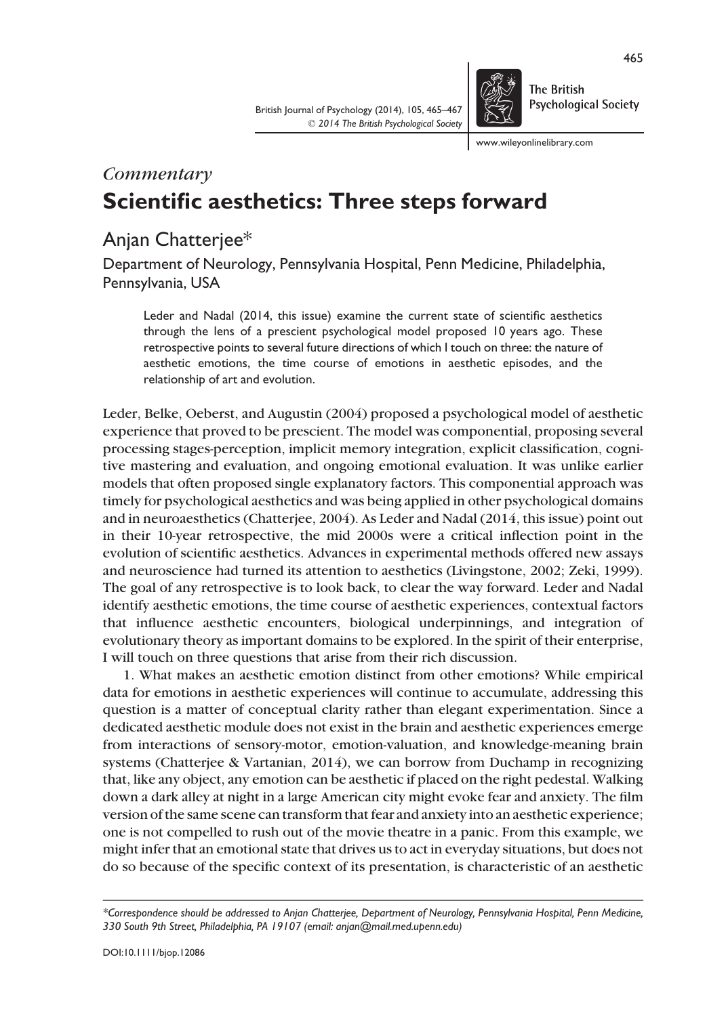

**The British Psychological Society** 

www.wileyonlinelibrary.com

## **Commentary** Scientific aesthetics: Three steps forward

## Anjan Chatterjee\*

Department of Neurology, Pennsylvania Hospital, Penn Medicine, Philadelphia, Pennsylvania, USA

Leder and Nadal (2014, this issue) examine the current state of scientific aesthetics through the lens of a prescient psychological model proposed 10 years ago. These retrospective points to several future directions of which I touch on three: the nature of aesthetic emotions, the time course of emotions in aesthetic episodes, and the relationship of art and evolution.

Leder, Belke, Oeberst, and Augustin (2004) proposed a psychological model of aesthetic experience that proved to be prescient. The model was componential, proposing several processing stages-perception, implicit memory integration, explicit classification, cognitive mastering and evaluation, and ongoing emotional evaluation. It was unlike earlier models that often proposed single explanatory factors. This componential approach was timely for psychological aesthetics and was being applied in other psychological domains and in neuroaesthetics (Chatterjee, 2004). As Leder and Nadal (2014, this issue) point out in their 10-year retrospective, the mid 2000s were a critical inflection point in the evolution of scientific aesthetics. Advances in experimental methods offered new assays and neuroscience had turned its attention to aesthetics (Livingstone, 2002; Zeki, 1999). The goal of any retrospective is to look back, to clear the way forward. Leder and Nadal identify aesthetic emotions, the time course of aesthetic experiences, contextual factors that influence aesthetic encounters, biological underpinnings, and integration of evolutionary theory as important domains to be explored. In the spirit of their enterprise, I will touch on three questions that arise from their rich discussion.

1. What makes an aesthetic emotion distinct from other emotions? While empirical data for emotions in aesthetic experiences will continue to accumulate, addressing this question is a matter of conceptual clarity rather than elegant experimentation. Since a dedicated aesthetic module does not exist in the brain and aesthetic experiences emerge from interactions of sensory-motor, emotion-valuation, and knowledge-meaning brain systems (Chatterjee & Vartanian, 2014), we can borrow from Duchamp in recognizing that, like any object, any emotion can be aesthetic if placed on the right pedestal. Walking down a dark alley at night in a large American city might evoke fear and anxiety. The film version of the same scene can transform that fear and anxiety into an aesthetic experience; one is not compelled to rush out of the movie theatre in a panic. From this example, we might infer that an emotional state that drives us to act in everyday situations, but does not do so because of the specific context of its presentation, is characteristic of an aesthetic

<sup>\*</sup>Correspondence should be addressed to Anjan Chatterjee, Department of Neurology, Pennsylvania Hospital, Penn Medicine, 330 South 9th Street, Philadelphia, PA 19107 (email: anjan@mail.med.upenn.edu)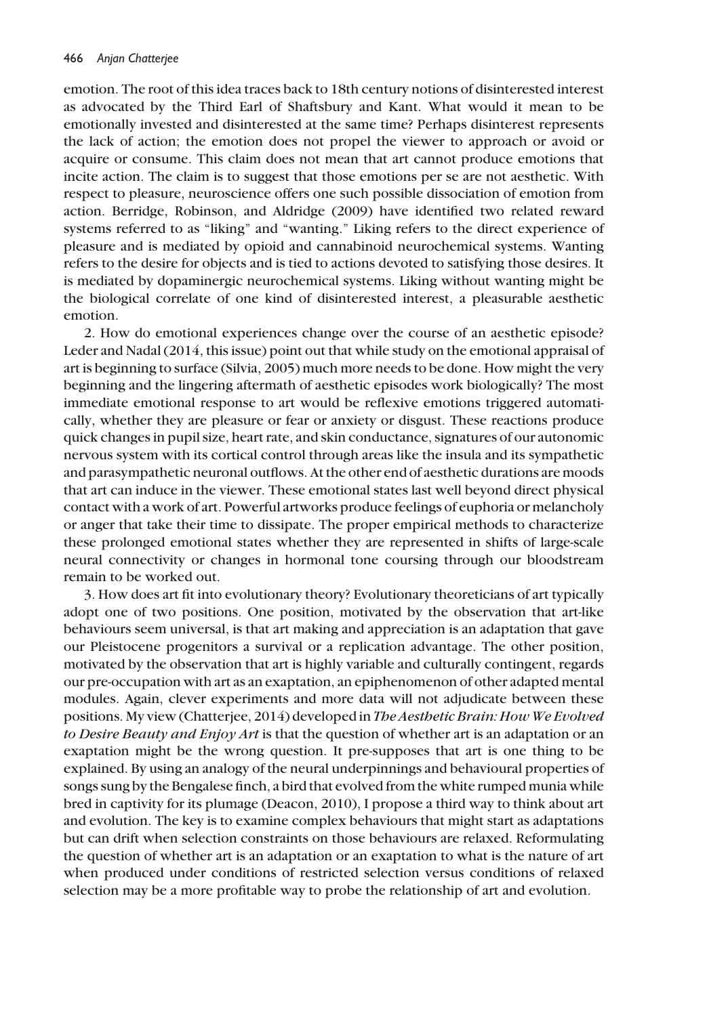emotion. The root of this idea traces back to 18th century notions of disinterested interest as advocated by the Third Earl of Shaftsbury and Kant. What would it mean to be emotionally invested and disinterested at the same time? Perhaps disinterest represents the lack of action; the emotion does not propel the viewer to approach or avoid or acquire or consume. This claim does not mean that art cannot produce emotions that incite action. The claim is to suggest that those emotions per se are not aesthetic. With respect to pleasure, neuroscience offers one such possible dissociation of emotion from action. Berridge, Robinson, and Aldridge (2009) have identified two related reward systems referred to as "liking" and "wanting." Liking refers to the direct experience of pleasure and is mediated by opioid and cannabinoid neurochemical systems. Wanting refers to the desire for objects and is tied to actions devoted to satisfying those desires. It is mediated by dopaminergic neurochemical systems. Liking without wanting might be the biological correlate of one kind of disinterested interest, a pleasurable aesthetic emotion.

2. How do emotional experiences change over the course of an aesthetic episode? Leder and Nadal (2014, this issue) point out that while study on the emotional appraisal of art is beginning to surface (Silvia, 2005) much more needs to be done. How might the very beginning and the lingering aftermath of aesthetic episodes work biologically? The most immediate emotional response to art would be reflexive emotions triggered automatically, whether they are pleasure or fear or anxiety or disgust. These reactions produce quick changes in pupil size, heart rate, and skin conductance, signatures of our autonomic nervous system with its cortical control through areas like the insula and its sympathetic and parasympathetic neuronal outflows. At the other end of aesthetic durations are moods that art can induce in the viewer. These emotional states last well beyond direct physical contact with a work of art. Powerful artworks produce feelings of euphoria or melancholy or anger that take their time to dissipate. The proper empirical methods to characterize these prolonged emotional states whether they are represented in shifts of large-scale neural connectivity or changes in hormonal tone coursing through our bloodstream remain to be worked out.

3. How does art fit into evolutionary theory? Evolutionary theoreticians of art typically adopt one of two positions. One position, motivated by the observation that art-like behaviours seem universal, is that art making and appreciation is an adaptation that gave our Pleistocene progenitors a survival or a replication advantage. The other position, motivated by the observation that art is highly variable and culturally contingent, regards our pre-occupation with art as an exaptation, an epiphenomenon of other adapted mental modules. Again, clever experiments and more data will not adjudicate between these positions. My view (Chatterjee, 2014) developed in The Aesthetic Brain: How We Evolved to Desire Beauty and Enjoy Art is that the question of whether art is an adaptation or an exaptation might be the wrong question. It pre-supposes that art is one thing to be explained. By using an analogy of the neural underpinnings and behavioural properties of songs sung by the Bengalese finch, a bird that evolved from the white rumped munia while bred in captivity for its plumage (Deacon, 2010), I propose a third way to think about art and evolution. The key is to examine complex behaviours that might start as adaptations but can drift when selection constraints on those behaviours are relaxed. Reformulating the question of whether art is an adaptation or an exaptation to what is the nature of art when produced under conditions of restricted selection versus conditions of relaxed selection may be a more profitable way to probe the relationship of art and evolution.